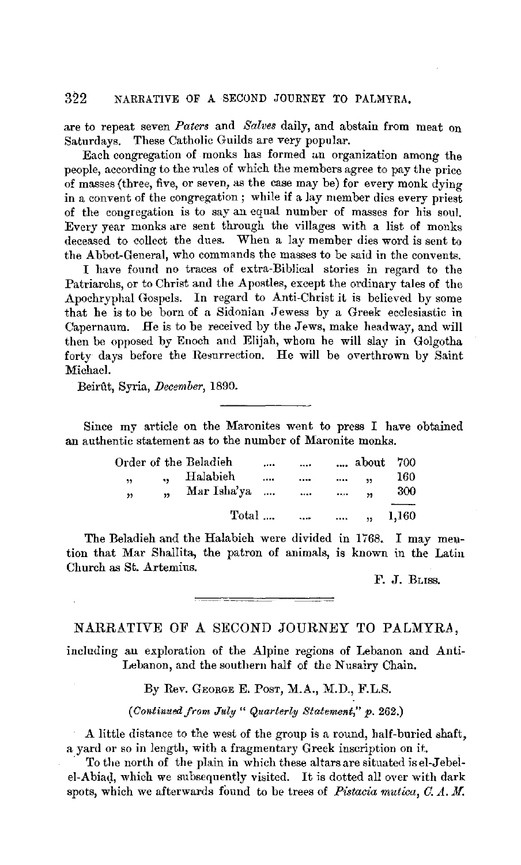### 322 NARRATIVE OF A SECOND JOURNEY TO PALMYRA,

are to repeat seven *Paters* and *Salves* daily, and abstain from meat on Saturdays. These Catholic Guilds are very popular.

Each congregation of monks has formed an organization among the people, according to the rules of which the members agree to pay the price of masses (three, five, or seven, as the case may be) for every monk dying in a convent of the congregation; while if a lay member dies every priest of the congregation is to say an equal number of masses for his soul. Every year monks are sent through the villages with a list of monks deceased to collect the dues. When a lay member dies word is sent to the Abbot-General, who commands the masses to be said in the convents.

I have found no traces of extra-Biblical stories in regard to the Patriarchs, or to Christ and the Apostles, except the ordinary tales of the Apochryphal Gospels. In regard to Anti-Christ it is believed by some that he is to be born of a Sidonian Jewess by a Greek ecclesiastic in Capernaum. He is to be received by the Jews, make headway, and will then be opposed by Enoch and Elijah, whom he will slay in Golgotha forty days before the Resurrection. He will be overthrown by Saint Michael.

Beirut, Syria, *December,* 1890.

Since my article on the Maronites went to press I have obtained an authentic statement as to the number of Maronite monks.

|   |            | Order of the Beladieh |          | $\cdots$             |          | about                | 700   |
|---|------------|-----------------------|----------|----------------------|----------|----------------------|-------|
| , | ä.         | Halabieh              |          |                      | $\cdots$ | $\ddot{\phantom{1}}$ | 160   |
| , | $\ddot{ }$ | Mar Isha'ya           | $\cdots$ |                      | $\cdots$ | $\ddot{\phantom{1}}$ | 300   |
|   |            | Total                 |          | <b>Sales Control</b> |          | $\cdots$ ,           | 1,160 |
|   |            |                       |          |                      |          |                      |       |

The Beladieh and the Halabieh were divided in 1768. I may mention that Mar Shallita, the patron of animals, is known in the Latin Church as St. Artemius.

F. J. BLISS.

# NARRATIVE OF A SECOND JOURNEY TO PALMYRA,

including an exploration of the Alpine regions of Lebanon and Anti-Lebanon, and the southern half of the Nusairy Chain.

By Rev. GEORGE E. PosT, **M.A.,** M.D., F.L.S.

*(Continued from July" Quarterly Statement,"* p. 262.)

**A** little distance to the west of the group is a round, half-buried shaft, a yard or so in length, with a fragmentary Greek inscription on it.

To the north of the plain in which these altars are situated is el-Jebelel-Abiad, which we subsequently visited. It is dotted all over with dark spots, which we afterwards found to be trees of *Pistacia mutica, C.A.M.*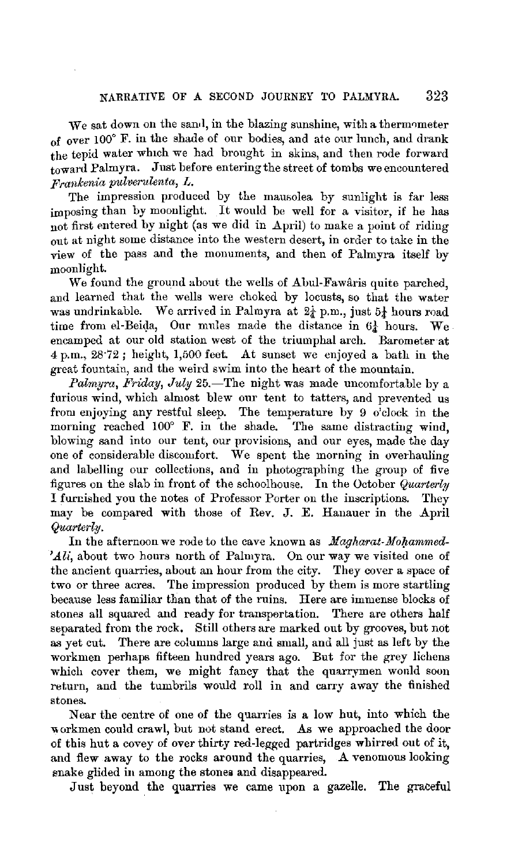We sat down on the sand, in the blazing sunshine, with a thermometer of over 100° F. in the shade of our bodies, and ate our lunch, and drank the tepid water which we had brought in skins, and then rode forward toward Palmyra. Just before entering the street of tombs we encountered *Franlcenia pulverulenta, L.* 

The impression produced by the mausolea by sunlight is far less imposing than by moonlight. It would be well for a visitor, if he has not first entered by night (as we did in  $\Delta$ pril) to make a point of riding out at night some distance into the western desert, in order to take in the view of the pass and the monuments, and then of Palmyra itself by moonlight.

We found the ground about the wells of Abul-Fawaris quite parched, and learned that the wells were choked by locusts, so that the water was undrinkable. We arrived in Palmyra at  $2\frac{1}{4}$  p.m., just  $5\frac{1}{4}$  hours road time from el-Beida, Our mules made the distance in  $6\frac{1}{4}$  hours. We encamped at our old station west of the triumphal arch. Barometer at  $4 p.m., 28.72$ ; height, 1,500 feet. At sunset we enjoyed a bath in the great fountain, and the weird swim into the heart of the mountain.

*Palmyra, Friday, July* 25.—The night was made uncomfortable by a furious wind, which almost blew our tent to tatters, and prevented us from enjoying any restful sleep. The temperature by 9 o'clock in the morning reached 100° F. in the shade. The same distracting wind, blowing sand into our tent, our provisions, and our eyes, made the day one of considerable discomfort. We spent the morning in overhauling and labelling our collections, and in photographing the group of five figures on the slab in front of the schoolhouse. In the October *Quarterly* I furr:ished you the notes of Professor Porter on the inscriptions. They may be compared with those of Rev. J. E. Hanauer in the April *Quarterly.* 

In the afternoon we rode to the cave known as *Magharat-Mohammed*-*'Ali,* about two hours north of Palmyra. On our way we visited one of the ancient quarries, about an hour from the city. They cover a space of two or three acres. The impression produced by them is more startling because less familiar than that of the ruins. Here are immense blocks of stones all squared and ready for transpertation. There are others half separated from the rock. Still others are marked out by grooves, but not as yet cut. There are columns large and small, and all just as left by the workmen perhaps fifteen hundred years ago. But for the grey lichens which cover them, we might fancy that the quarrymen would soon return, and the tumbrils would roll in and carry away the finished stones.

Near the centre of one of the quarries is a low hut, into which the workmen could crawl, but not stand erect. As we approached the door of this hut a covey of over thirty red-legged partridges whirred out of it, and flew away to the rocks around the quarries, A venomous looking enake glided in among the stones and disappeared.

Just beyond the quarries we came upon a gazelle. The graceful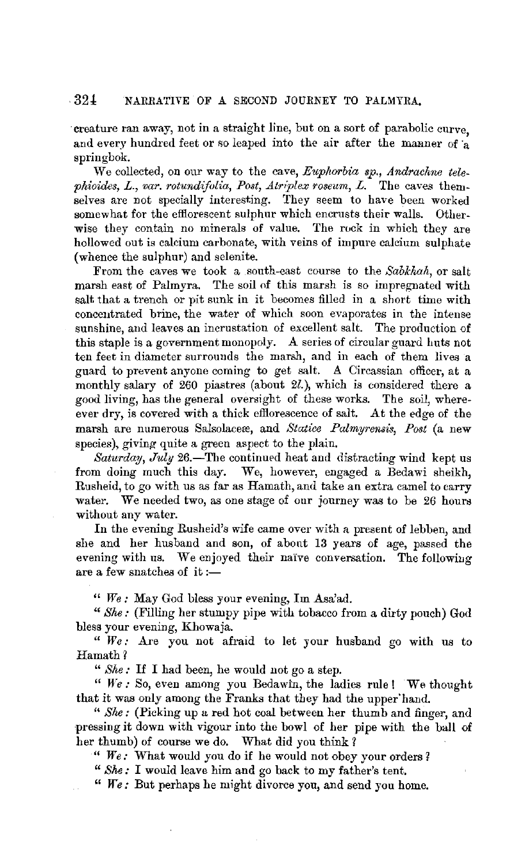## 32± NARRATIVE OF A SECOND JOURNEY TO PALMYRA.

creature ran away, not in a straight line, but on a sort of parabolic curve, and every hundred feet or so leaped into the air after the manner of a springbok.

\Ve collected, on our way to the cave, *Euplwrbia sp., Andrachne telephioides, L., var. rotundifolia, Post, Atriplex roseum, L.* The caves themselves are not specially interesting. They seem to have been worked somewhat for the efflorescent sulphur which encrusts their walls. Otherwise they contain no minerals of value. The rock in which they are hollowed out is calcium carbonate, with veins of impure calcium sulphate (whence the sulphur) and selenite.

From the caves we took a south-east course to the *Sabkhah,* or salt marsh east of Palmyra. The soil nf this marsh is so impregnated with salt that a trench or pit sunk in it becomes filled in a short time with concentrated brine, the water of which soon evaporates in the intense sunshine, and leaves an incrustation of excellent salt. The production of this staple is a government monopoly. A series of circular guard huts not ten feet in diameter surrounds the marsh, and in each of them lives a guard to prevent anyone coming to get salt. A Circassian officer, at a monthly salary of 260 piastres (about 2l.), which is considered there a good living, has the general oversight of these works. The soil, whereever dry, is covered with a thick efllorescence of salt. At the edge of the marsh are numerous Salsolaceæ, and *Statice Palmyrensis*, Post (a new species), giving quite a green aspect to the plain.

*Saturday, July* 26.—The continued heat and distracting wind kept us from doing much this day. We, however, engaged a Bedawi sheikh, Rusheid, to go with us as far as Hamath, and take an extra camel to carry water. We needed two, as one stage of our journey was to be 26 hours without any water.

In the evening Rusheid's wife came over with a present of lebben, and she and her husband and son, of abont 13 years of age, passed the evening with us. We enjoyed their naïve conversation. The following are a few snatches of it: $-$ 

" *We :* May God bless your evening, Im Asa'ad.

*"She:* (Filling her stumpy pipe with tobacco from a dirty pouch) God bless your evening, Khowaja.

" *We:* Are you not afraid to let your husband go with us to Hamath?

" *She:* If I had been, he would not go a step.

" *We:* So, even among you Bedawin, the ladies rule! We thought that it was only among the Franks that they had the upper'hand.

" *Slw:* (Picking up a red hot coal between her thumb and finger, and pressing it down with vigour into the bowl of her pipe with the ball of her thumb) of course we do. What did you think?

" *We:* What would you do if he would not obey your orders?

" *She:* I would leave him and go back to my father's tent.

" *We:* But perhaps he might divorce you, and send you home.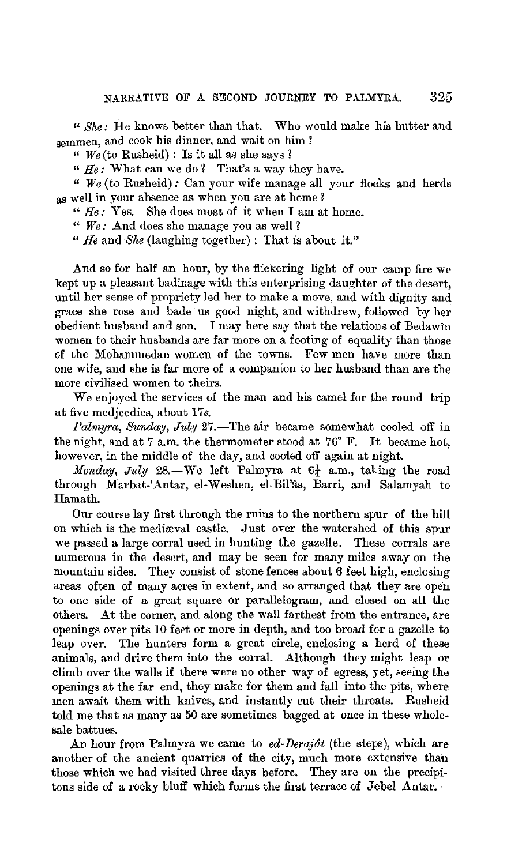$\mathcal{C}$  *She:* He knows better than that. Who would make his butter and semmen, and cook his dinner, and wait on him ?

 $\lq$  *We* (to Rusheid) : Is it all as she says ?

" *He:* What can we do *1* That's a way they have.

" *We* (to Rusheid): Can your wife manage all your flocks and herds as well in your absence as when you are at home?

" *He:* Yes. She does most of it when I am at home.

" *We :* And does she manage you as well *1* 

*"He* and *She* (laughing together): That is about it."

And so for half an hour, by the flickering light of our camp fire we kept up a pleasant badinage with this enterprising daughter of the desert, until her sense of propriety led her to make a move, and with dignity and grace she rose and bade us good night, and withdrew, followed by her obedient husband and son. I may here say that the relations of Bedawin women to their husbands are far more on a footing of equality than those of the Mohammedan women of the towns. Few men have more than one wife, and 8he is far more of a companion to her husband than are the more civilised women to theirs.

We enjoyed the services of the man and his camel for the round trip at five medjeedies, about 17s.

Palmyra, Sunday, July 27.-The air became somewhat cooled off in the night, and at 7 a.m. the thermometer stood at 76° F. It became hot, however, in the middle of the day, and cooled off again at night.

*Monday, July* 28.-We left Palmyra at  $6\frac{1}{4}$  a.m., taking the road through Marbat-'Antar, el-Weshen, el-Bil'fis, Barri, and Salamyah to Hamath.

Our course lay first through the ruins to the northern spur of the hill on which is the medireval castle. Just over the watershed of this spur we passed a large corral used in hunting the gazelle. These corrals are numerous in the desert, and may be seen for many miles away on the mountain sides. They consist of stone fences about  $6$  feet high, enclosing areas often of many acres in extent, and so arranged that they are open to one side of a great square or parallelogram, and closed on all the others. At the comer, and along the wall farthest from the entrance, are openings over pits 10 feet or more in depth, and too broad for a gazelle to leap over. The hunters form a great circle, enclosing a herd of these animals, and drive them into the corral. Although they might leap or climb over the walls if there were no other way of egress, yet, seeing the openings at the far end, they make for them and fall into the pits, where men await them with knives, and instantly cut their throats. Rusheid told me that as many as 50 are sometimes bagged at once in these wholesale battues.

An hour from Palmyra we came to *ed-Derajdt* (the steps), which are another of the ancient quarries of the city, much more extensive than those which we had visited three days before. They are on the precipitous side of a rocky bluff which forms the first terrace of Jebel Antar.  $\cdot$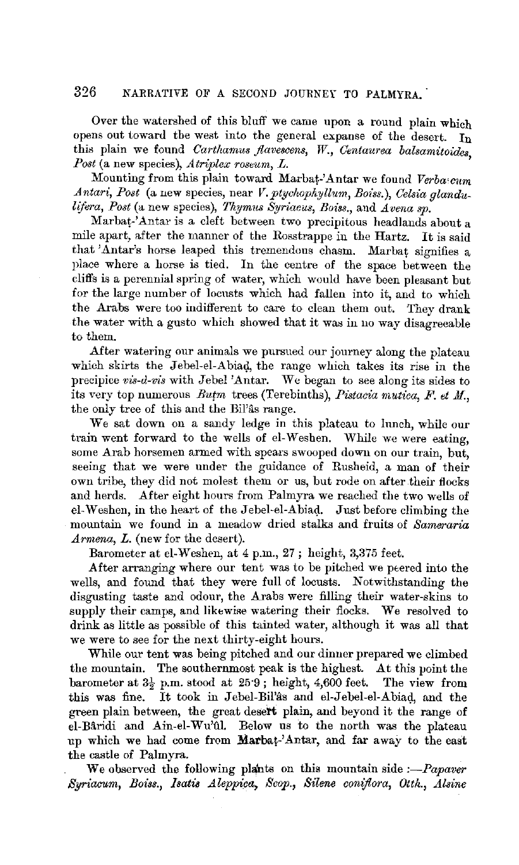### 326 NARRATIVE OF A SECOND JOURNEY TO PALMYRA.

Over the watershed of this bluff we came upon a round plain which opens out toward the west into the general expanse of the desert. In this plain we found *Carthamus flavescens*, W., Centaurea balsamitoides. *Post* (a new species), *A triplex roseum, L.* '

Mounting from this plain toward Marbat-'Antar we found *Verba-cum*  Antari, Post (a new species, near *V. ptychophyllum, Boiss.), Celsia glandulifwa, Post* (a new species), *Thymus Syriacus, Boiss.,* and *Avena sp.* 

Marbat-'Antar is a cleft between two precipitous headlands about a mile apart, after the manner of the Rosstrappe in the Hartz. It is said that 'Antar's horse leaped this tremendous chasm. Marbat signifies a place where a horse is tied. In the centre of the space between the cliffs is a perennial spring of water, which would have been pleasant but for the large number of locusts which had fallen into it, and to which the Arabs were too indifferent to care to clean them out. They drank the water with a gusto which showed that it was in no way disagreeable to them.

After watering our animals we pursued our journey along the plateau which skirts the Jebel-el-Abiad, the range which takes its rise in the precipice *vui-d-vis* with Jebel 'Antar. We began to see along its sides to its very top numerous *Butm* trees (Terebinths), *Pistacia mutica, F. et M.*, the only tree of this and the Bil'âs range.

We sat down on a sandy ledge in this plateau to lnnch, while our train went forward to the wells of el-Weshen. While we were eating, some Arab horsemen armed with spears swooped down on our train, but, seeing that we were under the guidance of Rusheid, a man of their own tribe, they did not molest them or us, but rode on after their flocks and herds. After eight hours from Palmyra we reached the two wells of el-Weshen, in the heart of the Jebel-el-Abiad. Just before climbing the mountain we found in a meadow dried stalks and fruits of *Sameraria Armena, L.* (new for the desert).

Barometer at el-Weshen, at 4 p.m., 27; height, 3,375 feet.

After arranging where our tent was to be pitched we peered into the wells, and found that they were full of locusts. Notwithstanding the disgusting taste and odour, the Arabs were filling their water-skins to supply their camps, and likewise watering their flocks. We resolved to drink as little as possible of this tainted water, although it was all that we were to see for the next thirty-eight hours.

While our tent was being pitched and our dinner prepared we climbed the mountain. The southernmost peak is the highest. At this point the barometer at  $3\frac{1}{2}$  p.m. stood at  $25.9$ ; height, 4,600 feet. The view from this was fine. It took in Jebel-Bil'as and el-Jebel-el-Abiad, and the green plain between, the great desert plain, and beyond it the range of el-Bâridi and  $\text{A}$ in-el-Wu'ûl. Below us to the north was the plateau up which we had come from Marbat-'Antar, and far away to the east the castle of Palmyra.

We observed the following plants on this mountain side *:-Papaver Syriacum, Boiss., /satis A.leppica, Scop., Silene coniflora, Otth., A.lsine*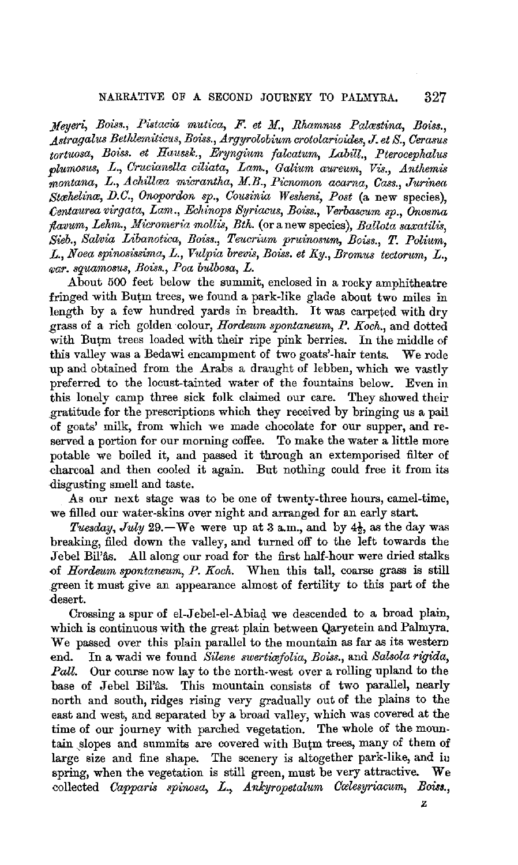#### NARRATIVE OF A SECOND JOURNEY TO PALMYRA. 327

*}[eyeri, Boiss., Putacia mutica, F. et M., Rhamnus Palrestina, Boiss., .Astragalus Bethlemiticus, Bous., Argyrolobium crotolarioides,* **J.** *et S., Oerasus tortuosa, Boiss. et Haussk., Ery;ngiitm falcatum, Labill., Pterocephalus plurnosus, L., Orucianella ciliata, Lam., Galium aureum, Vu., Anthemu montana, L., Achillcea mi'crantha, M.B., Picnomon acarna, Cass., Jurinea Strehelince, IJ.C., Onopordon sp., Cousinia Wesheni, Post* (a new species), *()entaurea virgata, Lam., Echinops Syriacus, Boiss.,* V *erbascum sp., Onosma flavum, Lehm., Micromeria mollis, Bth.* (or a new species), *Ballota saxatilis*, *Sieb., Salvia Libanotica, Bous., Teucrium prui'nosum, Boiss.,* T. *Polium,*  L., Noea spinosissima, L., Vulpia brevis, Boiss. et Ky., Bromus tectorum, L., *f/Jar. squamosus, Boiss., Paa bulbosa,* L.

About 500 feet below the summit, enclosed in a rocky amphitheatre fringed with Butm trees, we found a park-like glade about two miles in length by a few hundred yards in breadth. It was carpeted with dry grass of a rich golden colour, *Hordeum spontaneurn, P. Koch.,* and dotted with Butm trees loaded with their ripe pink berries. In the middle of this valley was a Bedawi encampment of two goats'-hair tents. We rode up and obtained from the Arabs a draught of lebben, which we vastly preferred to the locust-tainted water of the fountains below. Even in this lonely camp three sick folk claimed our care. They showed their gratitude for the prescriptions which they received by bringing us a pail of goats' milk, from which we made chocolate for our supper, and reserved a portion for our morning coffee. To make the water a little more potable we boiled it, and passed it through an extemporised filter of eharcoal and then cooled it again. But nothing could free it from its disgusting smell and taste.

As our next stage was to be one of twenty-three hours, camel-time, we filled our water-skins over night and arranged for an early start.

*Tuesday, July* 29.-We were up at 3 a.m., and by  $4\frac{1}{2}$ , as the day was breaking, filed down the valley, and turned off to the left towards the Jebel Bil'ås. All along our road for the first half-hour were dried stalks -of *Hordeum spontaneum, P. Koch.* When this tall, coarse grass is still green it must give an appearance almost of fertility to this part of the desert.

Crossing a spur of el-Jebel-el-Abiag. we descended to a broad plain, which is continuous with the great plain between Qaryetein and Palmyra. We passed over this plain parallel to the mountain as far as its western end. In a wadi we found *Silene swertiafolia*, *Boiss.*, and *Salsola rigida*, *Pall.* Our course now lay to the north-west over a rolling upland to the base of Jebel Bil'as. This mountain consists of two parallel, nearly north and south, ridges rising very gradually out of the plains to the east and west, and separated by a broad valley, which was covered at the time of our journey with parched vegetation. The whole of the mountain ,slopes and summits are covered with Butm trees, many of them of large size and fine shape. The scenery is altogether park-like, and iu spring, when the vegetation is still green, must be very attractive. **We**  collected *Capparis spinosa*, *L.*, *Ankyropetalum Cœlesyriacum*, *Boiss.*,

**z**